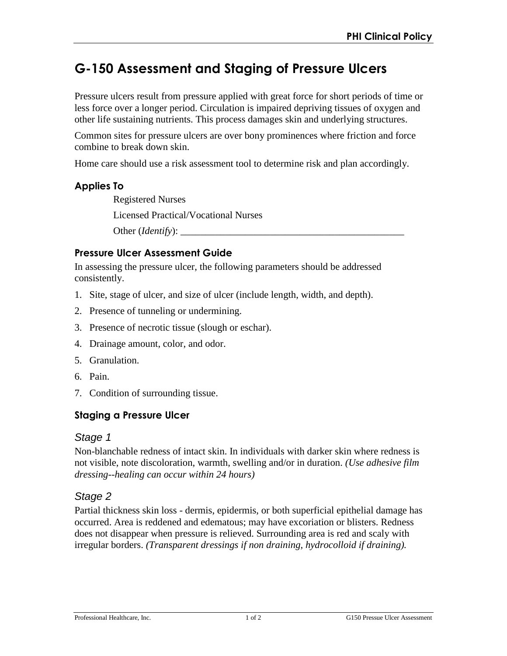# **G-150 Assessment and Staging of Pressure Ulcers**

Pressure ulcers result from pressure applied with great force for short periods of time or less force over a longer period. Circulation is impaired depriving tissues of oxygen and other life sustaining nutrients. This process damages skin and underlying structures.

Common sites for pressure ulcers are over bony prominences where friction and force combine to break down skin.

Home care should use a risk assessment tool to determine risk and plan accordingly.

#### **Applies To**

Registered Nurses

Licensed Practical/Vocational Nurses

Other (*Identify*): \_\_\_\_\_\_\_\_\_\_\_\_\_\_\_\_\_\_\_\_\_\_\_\_\_\_\_\_\_\_\_\_\_\_\_\_\_\_\_\_\_\_\_\_\_

#### **Pressure Ulcer Assessment Guide**

In assessing the pressure ulcer, the following parameters should be addressed consistently.

- 1. Site, stage of ulcer, and size of ulcer (include length, width, and depth).
- 2. Presence of tunneling or undermining.
- 3. Presence of necrotic tissue (slough or eschar).
- 4. Drainage amount, color, and odor.
- 5. Granulation.
- 6. Pain.
- 7. Condition of surrounding tissue.

## **Staging a Pressure Ulcer**

#### *Stage 1*

Non-blanchable redness of intact skin. In individuals with darker skin where redness is not visible, note discoloration, warmth, swelling and/or in duration. *(Use adhesive film dressing--healing can occur within 24 hours)* 

## *Stage 2*

Partial thickness skin loss - dermis, epidermis, or both superficial epithelial damage has occurred. Area is reddened and edematous; may have excoriation or blisters. Redness does not disappear when pressure is relieved. Surrounding area is red and scaly with irregular borders. *(Transparent dressings if non draining, hydrocolloid if draining).*